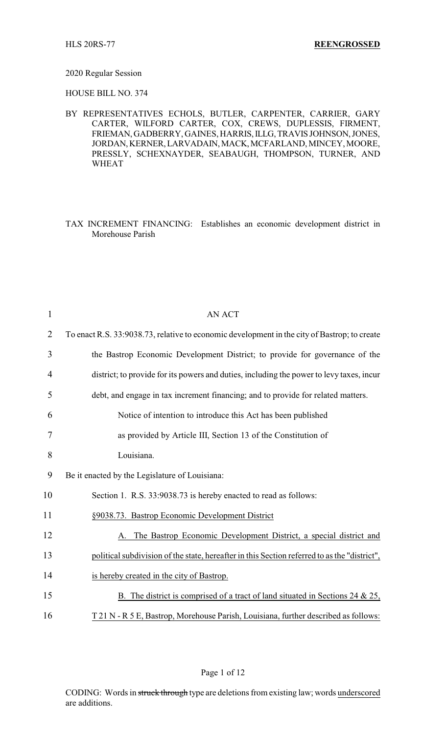## 2020 Regular Session

HOUSE BILL NO. 374

BY REPRESENTATIVES ECHOLS, BUTLER, CARPENTER, CARRIER, GARY CARTER, WILFORD CARTER, COX, CREWS, DUPLESSIS, FIRMENT, FRIEMAN,GADBERRY, GAINES, HARRIS,ILLG,TRAVIS JOHNSON,JONES, JORDAN,KERNER,LARVADAIN,MACK,MCFARLAND, MINCEY, MOORE, PRESSLY, SCHEXNAYDER, SEABAUGH, THOMPSON, TURNER, AND WHEAT

TAX INCREMENT FINANCING: Establishes an economic development district in Morehouse Parish

| $\mathbf{1}$   | <b>AN ACT</b>                                                                                |
|----------------|----------------------------------------------------------------------------------------------|
| $\overline{2}$ | To enact R.S. 33:9038.73, relative to economic development in the city of Bastrop; to create |
| 3              | the Bastrop Economic Development District; to provide for governance of the                  |
| 4              | district; to provide for its powers and duties, including the power to levy taxes, incur     |
| 5              | debt, and engage in tax increment financing; and to provide for related matters.             |
| 6              | Notice of intention to introduce this Act has been published                                 |
| 7              | as provided by Article III, Section 13 of the Constitution of                                |
| 8              | Louisiana.                                                                                   |
| 9              | Be it enacted by the Legislature of Louisiana:                                               |
| 10             | Section 1. R.S. 33:9038.73 is hereby enacted to read as follows:                             |
| 11             | §9038.73. Bastrop Economic Development District                                              |
| 12             | The Bastrop Economic Development District, a special district and                            |
| 13             | political subdivision of the state, hereafter in this Section referred to as the "district", |
| 14             | is hereby created in the city of Bastrop.                                                    |
| 15             | B. The district is comprised of a tract of land situated in Sections 24 $\&$ 25,             |
| 16             | T 21 N - R 5 E, Bastrop, Morehouse Parish, Louisiana, further described as follows:          |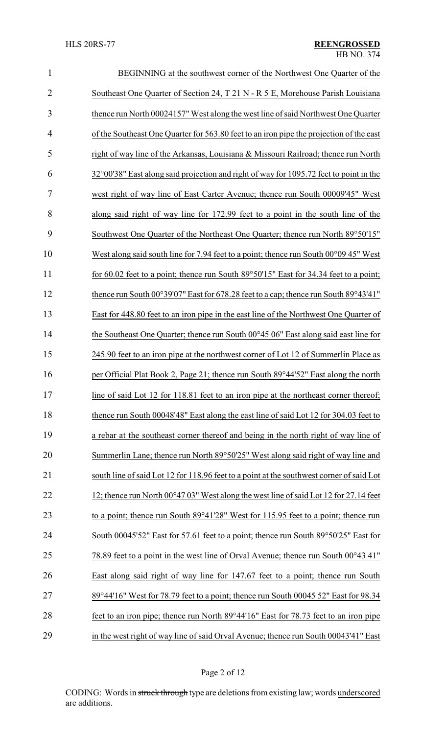| $\mathbf{1}$   | BEGINNING at the southwest corner of the Northwest One Quarter of the                           |  |
|----------------|-------------------------------------------------------------------------------------------------|--|
| $\overline{2}$ | Southeast One Quarter of Section 24, T 21 N - R 5 E, Morehouse Parish Louisiana                 |  |
| 3              | thence run North 00024157" West along the west line of said Northwest One Quarter               |  |
| $\overline{4}$ | of the Southeast One Quarter for 563.80 feet to an iron pipe the projection of the east         |  |
| 5              | right of way line of the Arkansas, Louisiana & Missouri Railroad; thence run North              |  |
| 6              | 32°00'38" East along said projection and right of way for 1095.72 feet to point in the          |  |
| 7              | west right of way line of East Carter Avenue; thence run South 00009'45" West                   |  |
| 8              | along said right of way line for 172.99 feet to a point in the south line of the                |  |
| 9              | Southwest One Quarter of the Northeast One Quarter; thence run North 89°50'15"                  |  |
| 10             | West along said south line for 7.94 feet to a point; thence run South $00^{\circ}0945$ " West   |  |
| 11             | for 60.02 feet to a point; thence run South $89^{\circ}50'15''$ East for 34.34 feet to a point; |  |
| 12             | thence run South 00°39'07" East for 678.28 feet to a cap; thence run South 89°43'41"            |  |
| 13             | East for 448.80 feet to an iron pipe in the east line of the Northwest One Quarter of           |  |
| 14             | the Southeast One Quarter; thence run South $00^{\circ}45.06$ " East along said east line for   |  |
| 15             | 245.90 feet to an iron pipe at the northwest corner of Lot 12 of Summerlin Place as             |  |
| 16             | per Official Plat Book 2, Page 21; thence run South 89°44'52" East along the north              |  |
| 17             | line of said Lot 12 for 118.81 feet to an iron pipe at the northeast corner thereof;            |  |
| 18             | thence run South 00048'48" East along the east line of said Lot 12 for 304.03 feet to           |  |
| 19             | a rebar at the southeast corner thereof and being in the north right of way line of             |  |
| 20             | Summerlin Lane; thence run North 89°50'25" West along said right of way line and                |  |
| 21             | south line of said Lot 12 for 118.96 feet to a point at the southwest corner of said Lot        |  |
| 22             | 12; thence run North 00°47 03" West along the west line of said Lot 12 for 27.14 feet           |  |
| 23             | to a point; thence run South 89°41'28" West for 115.95 feet to a point; thence run              |  |
| 24             | South 00045'52" East for 57.61 feet to a point; thence run South 89°50'25" East for             |  |
| 25             | 78.89 feet to a point in the west line of Orval Avenue; thence run South 00°43 41"              |  |
| 26             | East along said right of way line for 147.67 feet to a point; thence run South                  |  |
| 27             | 89°44'16" West for 78.79 feet to a point; thence run South 00045 52" East for 98.34             |  |
| 28             | feet to an iron pipe; thence run North 89°44'16" East for 78.73 feet to an iron pipe            |  |
| 29             | in the west right of way line of said Orval Avenue; thence run South 00043'41" East             |  |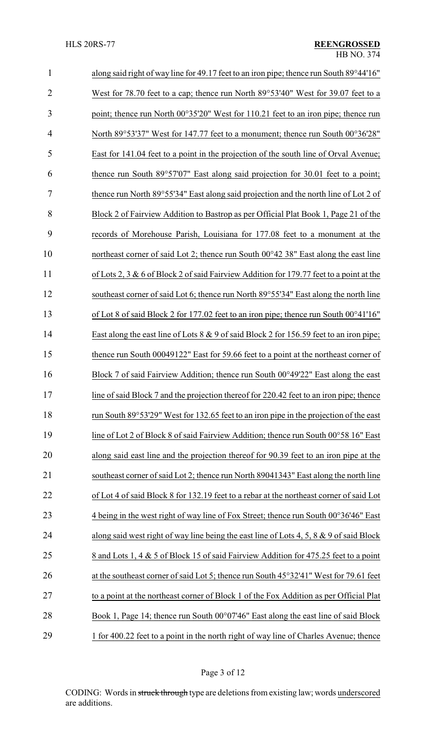| $\mathbf{1}$   | along said right of way line for 49.17 feet to an iron pipe; thence run South 89°44'16"        |
|----------------|------------------------------------------------------------------------------------------------|
| $\overline{2}$ | West for 78.70 feet to a cap; thence run North 89°53'40" West for 39.07 feet to a              |
| 3              | point; thence run North 00°35'20" West for 110.21 feet to an iron pipe; thence run             |
| $\overline{4}$ | North 89°53'37" West for 147.77 feet to a monument; thence run South 00°36'28"                 |
| 5              | East for 141.04 feet to a point in the projection of the south line of Orval Avenue;           |
| 6              | thence run South 89°57'07" East along said projection for 30.01 feet to a point;               |
| 7              | thence run North 89°55'34" East along said projection and the north line of Lot 2 of           |
| 8              | Block 2 of Fairview Addition to Bastrop as per Official Plat Book 1, Page 21 of the            |
| 9              | records of Morehouse Parish, Louisiana for 177.08 feet to a monument at the                    |
| 10             | northeast corner of said Lot 2; thence run South 00°42 38" East along the east line            |
| 11             | of Lots 2, 3 & 6 of Block 2 of said Fairview Addition for 179.77 feet to a point at the        |
| 12             | southeast corner of said Lot 6; thence run North 89°55'34" East along the north line           |
| 13             | of Lot 8 of said Block 2 for 177.02 feet to an iron pipe; thence run South $00^{\circ}41'16''$ |
| 14             | East along the east line of Lots $8 \& 9$ of said Block 2 for 156.59 feet to an iron pipe;     |
| 15             | thence run South 00049122" East for 59.66 feet to a point at the northeast corner of           |
| 16             | Block 7 of said Fairview Addition; thence run South 00°49'22" East along the east              |
| 17             | line of said Block 7 and the projection thereof for 220.42 feet to an iron pipe; thence        |
| 18             | run South 89°53'29" West for 132.65 feet to an iron pipe in the projection of the east         |
| 19             | line of Lot 2 of Block 8 of said Fairview Addition; thence run South 00°58 16" East            |
| 20             | along said east line and the projection thereof for 90.39 feet to an iron pipe at the          |
| 21             | southeast corner of said Lot 2; thence run North 89041343" East along the north line           |
| 22             | of Lot 4 of said Block 8 for 132.19 feet to a rebar at the northeast corner of said Lot        |
| 23             | 4 being in the west right of way line of Fox Street; thence run South 00°36'46" East           |
| 24             | along said west right of way line being the east line of Lots 4, 5, 8 $\&$ 9 of said Block     |
| 25             | 8 and Lots 1, 4 & 5 of Block 15 of said Fairview Addition for 475.25 feet to a point           |
| 26             | at the southeast corner of said Lot 5; thence run South 45°32'41" West for 79.61 feet          |
| 27             | to a point at the northeast corner of Block 1 of the Fox Addition as per Official Plat         |
| 28             | Book 1, Page 14; thence run South 00°07'46" East along the east line of said Block             |
| 29             | 1 for 400.22 feet to a point in the north right of way line of Charles Avenue; thence          |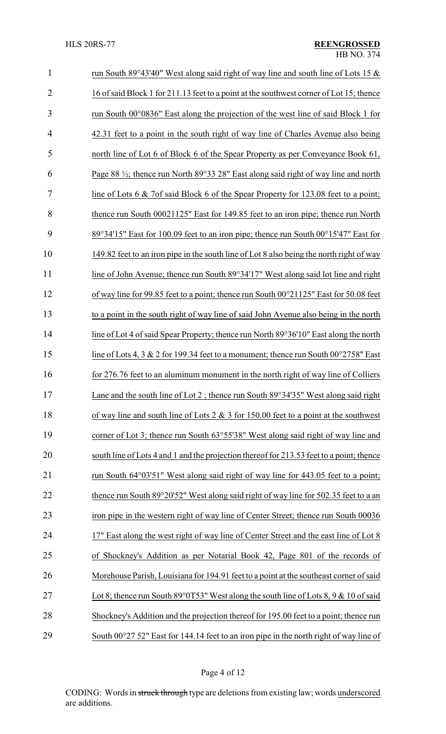| $\mathbf{1}$   | run South 89°43'40" West along said right of way line and south line of Lots 15 $\&$            |
|----------------|-------------------------------------------------------------------------------------------------|
| $\overline{2}$ | 16 of said Block 1 for 211.13 feet to a point at the southwest corner of Lot 15; thence         |
| 3              | run South $00^{\circ}0836$ " East along the projection of the west line of said Block 1 for     |
| $\overline{4}$ | 42.31 feet to a point in the south right of way line of Charles Avenue also being               |
| 5              | north line of Lot 6 of Block 6 of the Spear Property as per Conveyance Book 61,                 |
| 6              | Page 88 $\frac{1}{2}$ ; thence run North 89°33 28" East along said right of way line and north  |
| 7              | line of Lots 6 & 7of said Block 6 of the Spear Property for 123.08 feet to a point;             |
| 8              | thence run South 00021125" East for 149.85 feet to an iron pipe; thence run North               |
| 9              | 89°34'15" East for 100.09 feet to an iron pipe; thence run South 00°15'47" East for             |
| 10             | 149.82 feet to an iron pipe in the south line of Lot 8 also being the north right of way        |
| 11             | line of John Avenue; thence run South 89°34'17" West along said lot line and right              |
| 12             | of way line for 99.85 feet to a point; thence run South 00°21125" East for 50.08 feet           |
| 13             | to a point in the south right of way line of said John Avenue also being in the north           |
| 14             | line of Lot 4 of said Spear Property; thence run North 89°36'10" East along the north           |
| 15             | line of Lots 4, 3 & 2 for 199.34 feet to a monument; thence run South $00^{\circ}2758$ " East   |
| 16             | for 276.76 feet to an aluminum monument in the north right of way line of Colliers              |
| 17             | Lane and the south line of Lot 2; thence run South 89°34'35" West along said right              |
| 18             | of way line and south line of Lots $2 \& 3$ for 150.00 feet to a point at the southwest         |
| 19             | corner of Lot 3; thence run South 63°55'38" West along said right of way line and               |
| 20             | south line of Lots 4 and 1 and the projection thereof for 213.53 feet to a point; thence        |
| 21             | run South 64°03'51" West along said right of way line for 443.05 feet to a point;               |
| 22             | thence run South 89°20′52″ West along said right of way line for 502.35 feet to a an            |
| 23             | iron pipe in the western right of way line of Center Street; thence run South 00036             |
| 24             | 17" East along the west right of way line of Center Street and the east line of Lot 8           |
| 25             | of Shockney's Addition as per Notarial Book 42, Page 801 of the records of                      |
| 26             | Morehouse Parish, Louisiana for 194.91 feet to a point at the southeast corner of said          |
| 27             | Lot 8; thence run South 89°0T53" West along the south line of Lots 8, 9 & 10 of said            |
| 28             | Shockney's Addition and the projection thereof for 195.00 feet to a point; thence run           |
| 29             | South $00^{\circ}27$ 52" East for 144.14 feet to an iron pipe in the north right of way line of |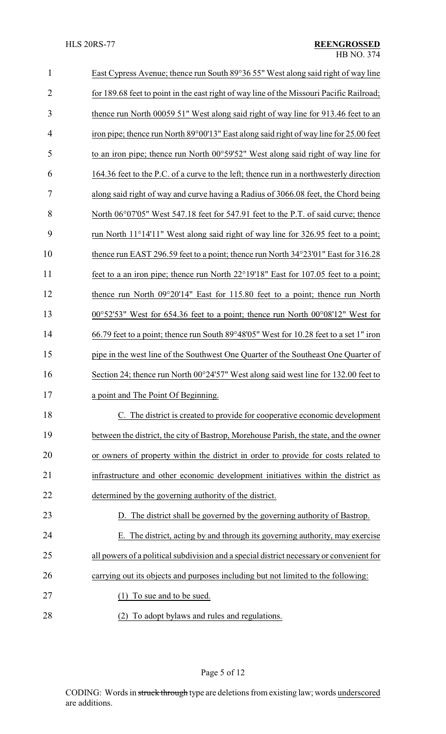| $\mathbf{1}$   | East Cypress Avenue; thence run South 89°36 55" West along said right of way line                  |  |
|----------------|----------------------------------------------------------------------------------------------------|--|
| $\overline{2}$ | for 189.68 feet to point in the east right of way line of the Missouri Pacific Railroad;           |  |
| 3              | thence run North 00059 51" West along said right of way line for 913.46 feet to an                 |  |
| 4              | iron pipe; thence run North 89°00'13" East along said right of way line for 25.00 feet             |  |
| 5              | to an iron pipe; thence run North 00°59'52" West along said right of way line for                  |  |
| 6              | 164.36 feet to the P.C. of a curve to the left; thence run in a northwesterly direction            |  |
| 7              | along said right of way and curve having a Radius of 3066.08 feet, the Chord being                 |  |
| 8              | North 06°07'05" West 547.18 feet for 547.91 feet to the P.T. of said curve; thence                 |  |
| 9              | run North 11°14'11" West along said right of way line for 326.95 feet to a point;                  |  |
| 10             | thence run EAST 296.59 feet to a point; thence run North 34°23'01" East for 316.28                 |  |
| 11             | feet to a an iron pipe; thence run North 22°19'18" East for 107.05 feet to a point;                |  |
| 12             | thence run North 09°20'14" East for 115.80 feet to a point; thence run North                       |  |
| 13             | $00^{\circ}52'53''$ West for 654.36 feet to a point; thence run North $00^{\circ}08'12''$ West for |  |
| 14             | 66.79 feet to a point; thence run South 89°48′05" West for 10.28 feet to a set 1" iron             |  |
| 15             | pipe in the west line of the Southwest One Quarter of the Southeast One Quarter of                 |  |
| 16             | Section 24; thence run North $00^{\circ}24'57''$ West along said west line for 132.00 feet to      |  |
| 17             | a point and The Point Of Beginning.                                                                |  |
| 18             | C. The district is created to provide for cooperative economic development                         |  |
| 19             | between the district, the city of Bastrop, Morehouse Parish, the state, and the owner              |  |
| 20             | or owners of property within the district in order to provide for costs related to                 |  |
| 21             | infrastructure and other economic development initiatives within the district as                   |  |
| 22             | determined by the governing authority of the district.                                             |  |
| 23             | D. The district shall be governed by the governing authority of Bastrop.                           |  |
| 24             | The district, acting by and through its governing authority, may exercise<br>Е.                    |  |
| 25             | all powers of a political subdivision and a special district necessary or convenient for           |  |
| 26             | carrying out its objects and purposes including but not limited to the following:                  |  |
| 27             | To sue and to be sued.<br>(1)                                                                      |  |
| 28             | (2) To adopt bylaws and rules and regulations.                                                     |  |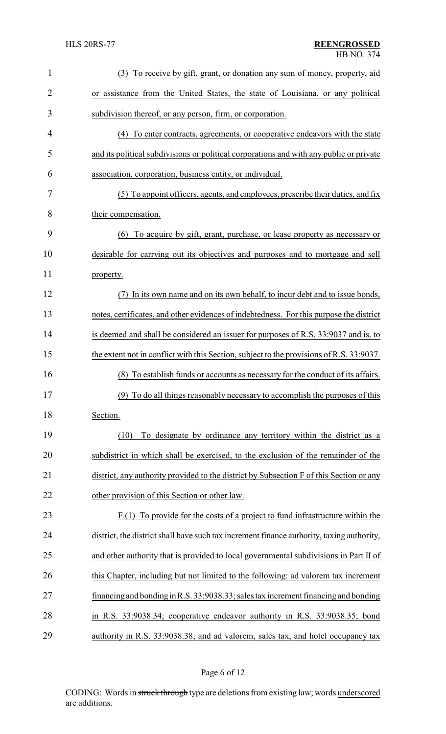| $\mathbf{1}$ | To receive by gift, grant, or donation any sum of money, property, aid<br>(3)             |  |
|--------------|-------------------------------------------------------------------------------------------|--|
| 2            | or assistance from the United States, the state of Louisiana, or any political            |  |
| 3            | subdivision thereof, or any person, firm, or corporation.                                 |  |
| 4            | (4) To enter contracts, agreements, or cooperative endeavors with the state               |  |
| 5            | and its political subdivisions or political corporations and with any public or private   |  |
| 6            | association, corporation, business entity, or individual.                                 |  |
| 7            | (5) To appoint officers, agents, and employees, prescribe their duties, and fix           |  |
| 8            | their compensation.                                                                       |  |
| 9            | To acquire by gift, grant, purchase, or lease property as necessary or<br>(6)             |  |
| 10           | desirable for carrying out its objectives and purposes and to mortgage and sell           |  |
| 11           | property.                                                                                 |  |
| 12           | In its own name and on its own behalf, to incur debt and to issue bonds,<br>(7)           |  |
| 13           | notes, certificates, and other evidences of indebtedness. For this purpose the district   |  |
| 14           | is deemed and shall be considered an issuer for purposes of R.S. 33:9037 and is, to       |  |
| 15           | the extent not in conflict with this Section, subject to the provisions of R.S. 33:9037.  |  |
| 16           | (8) To establish funds or accounts as necessary for the conduct of its affairs.           |  |
| 17           | (9) To do all things reasonably necessary to accomplish the purposes of this              |  |
| 18           | Section.                                                                                  |  |
| 19           | (10)<br>To designate by ordinance any territory within the district as a                  |  |
| 20           | subdistrict in which shall be exercised, to the exclusion of the remainder of the         |  |
| 21           | district, any authority provided to the district by Subsection F of this Section or any   |  |
| 22           | other provision of this Section or other law.                                             |  |
| 23           | $F(1)$ To provide for the costs of a project to fund infrastructure within the            |  |
| 24           | district, the district shall have such tax increment finance authority, taxing authority, |  |
| 25           | and other authority that is provided to local governmental subdivisions in Part II of     |  |
| 26           | this Chapter, including but not limited to the following: ad valorem tax increment        |  |
| 27           | financing and bonding in R.S. 33:9038.33; sales tax increment financing and bonding       |  |
| 28           | in R.S. 33:9038.34; cooperative endeavor authority in R.S. 33:9038.35; bond               |  |
| 29           | authority in R.S. 33:9038.38; and ad valorem, sales tax, and hotel occupancy tax          |  |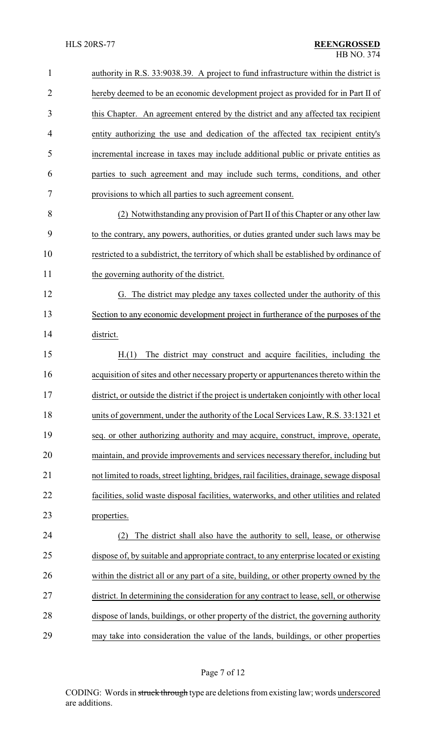| $\mathbf{1}$   | authority in R.S. 33:9038.39. A project to fund infrastructure within the district is      |  |
|----------------|--------------------------------------------------------------------------------------------|--|
| $\overline{2}$ | hereby deemed to be an economic development project as provided for in Part II of          |  |
| 3              | this Chapter. An agreement entered by the district and any affected tax recipient          |  |
| 4              | entity authorizing the use and dedication of the affected tax recipient entity's           |  |
| 5              | incremental increase in taxes may include additional public or private entities as         |  |
| 6              | parties to such agreement and may include such terms, conditions, and other                |  |
| 7              | provisions to which all parties to such agreement consent.                                 |  |
| 8              | (2) Notwithstanding any provision of Part II of this Chapter or any other law              |  |
| 9              | to the contrary, any powers, authorities, or duties granted under such laws may be         |  |
| 10             | restricted to a subdistrict, the territory of which shall be established by ordinance of   |  |
| 11             | the governing authority of the district.                                                   |  |
| 12             | G. The district may pledge any taxes collected under the authority of this                 |  |
| 13             | Section to any economic development project in furtherance of the purposes of the          |  |
| 14             | district.                                                                                  |  |
| 15             | H.(1)<br>The district may construct and acquire facilities, including the                  |  |
| 16             | acquisition of sites and other necessary property or appurtenances thereto within the      |  |
| 17             | district, or outside the district if the project is undertaken conjointly with other local |  |
| 18             | units of government, under the authority of the Local Services Law, R.S. 33:1321 et        |  |
| 19             | seq. or other authorizing authority and may acquire, construct, improve, operate,          |  |
| 20             | maintain, and provide improvements and services necessary therefor, including but          |  |
| 21             | not limited to roads, street lighting, bridges, rail facilities, drainage, sewage disposal |  |
| 22             | facilities, solid waste disposal facilities, waterworks, and other utilities and related   |  |
| 23             | properties.                                                                                |  |
| 24             | The district shall also have the authority to sell, lease, or otherwise<br>(2)             |  |
| 25             | dispose of, by suitable and appropriate contract, to any enterprise located or existing    |  |
| 26             | within the district all or any part of a site, building, or other property owned by the    |  |
| 27             | district. In determining the consideration for any contract to lease, sell, or otherwise   |  |
| 28             | dispose of lands, buildings, or other property of the district, the governing authority    |  |
| 29             | may take into consideration the value of the lands, buildings, or other properties         |  |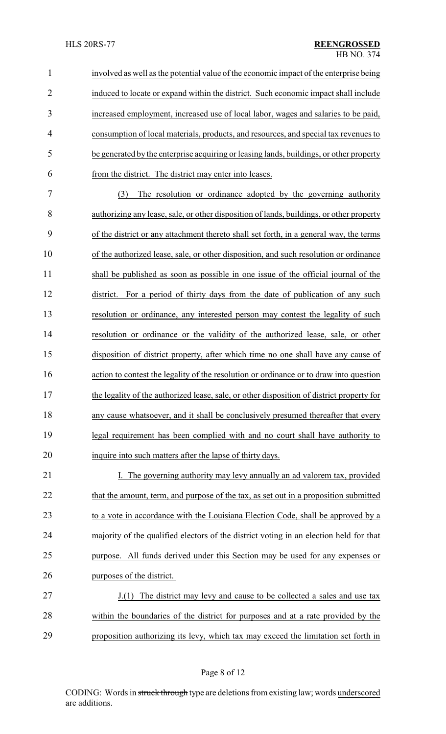involved as well as the potential value of the economic impact ofthe enterprise being induced to locate or expand within the district. Such economic impact shall include increased employment, increased use of local labor, wages and salaries to be paid, consumption of local materials, products, and resources, and special tax revenues to be generated by the enterprise acquiring or leasing lands, buildings, or other property from the district. The district may enter into leases.

 (3) The resolution or ordinance adopted by the governing authority authorizing any lease, sale, or other disposition of lands, buildings, or other property of the district or any attachment thereto shall set forth, in a general way, the terms of the authorized lease, sale, or other disposition, and such resolution or ordinance shall be published as soon as possible in one issue of the official journal of the district. For a period of thirty days from the date of publication of any such resolution or ordinance, any interested person may contest the legality of such resolution or ordinance or the validity of the authorized lease, sale, or other disposition of district property, after which time no one shall have any cause of action to contest the legality of the resolution or ordinance or to draw into question the legality of the authorized lease, sale, or other disposition of district property for any cause whatsoever, and it shall be conclusively presumed thereafter that every legal requirement has been complied with and no court shall have authority to inquire into such matters after the lapse of thirty days.

21 I. The governing authority may levy annually an ad valorem tax, provided 22 that the amount, term, and purpose of the tax, as set out in a proposition submitted 23 to a vote in accordance with the Louisiana Election Code, shall be approved by a majority of the qualified electors of the district voting in an election held for that purpose. All funds derived under this Section may be used for any expenses or purposes of the district.

27 J.(1) The district may levy and cause to be collected a sales and use tax within the boundaries of the district for purposes and at a rate provided by the proposition authorizing its levy, which tax may exceed the limitation set forth in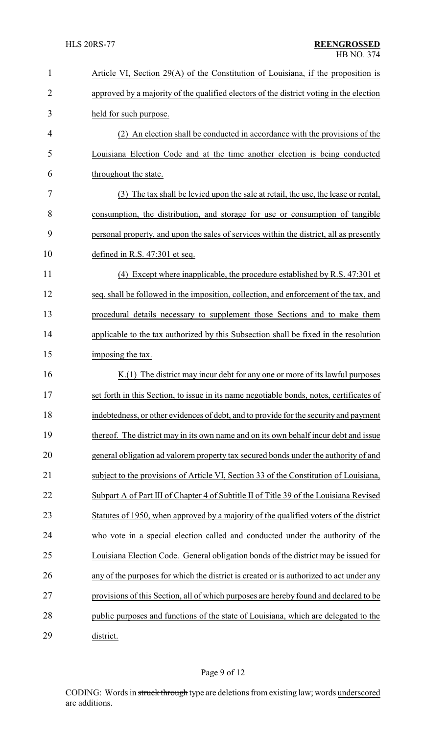| $\mathbf{1}$   | Article VI, Section 29(A) of the Constitution of Louisiana, if the proposition is        |  |
|----------------|------------------------------------------------------------------------------------------|--|
| $\overline{2}$ | approved by a majority of the qualified electors of the district voting in the election  |  |
| 3              | held for such purpose.                                                                   |  |
| 4              | (2) An election shall be conducted in accordance with the provisions of the              |  |
| 5              | Louisiana Election Code and at the time another election is being conducted              |  |
| 6              | throughout the state.                                                                    |  |
| 7              | (3) The tax shall be levied upon the sale at retail, the use, the lease or rental,       |  |
| 8              | consumption, the distribution, and storage for use or consumption of tangible            |  |
| 9              | personal property, and upon the sales of services within the district, all as presently  |  |
| 10             | defined in R.S. $47:301$ et seq.                                                         |  |
| 11             | Except where inapplicable, the procedure established by R.S. 47:301 et<br>(4)            |  |
| 12             | seq. shall be followed in the imposition, collection, and enforcement of the tax, and    |  |
| 13             | procedural details necessary to supplement those Sections and to make them               |  |
| 14             | applicable to the tax authorized by this Subsection shall be fixed in the resolution     |  |
| 15             | imposing the tax.                                                                        |  |
| 16             | $K(1)$ The district may incur debt for any one or more of its lawful purposes            |  |
| 17             | set forth in this Section, to issue in its name negotiable bonds, notes, certificates of |  |
| 18             | indebtedness, or other evidences of debt, and to provide for the security and payment    |  |
| 19             | thereof. The district may in its own name and on its own behalf incur debt and issue     |  |
| 20             | general obligation ad valorem property tax secured bonds under the authority of and      |  |
| 21             | subject to the provisions of Article VI, Section 33 of the Constitution of Louisiana,    |  |
| 22             | Subpart A of Part III of Chapter 4 of Subtitle II of Title 39 of the Louisiana Revised   |  |
| 23             | Statutes of 1950, when approved by a majority of the qualified voters of the district    |  |
| 24             | who vote in a special election called and conducted under the authority of the           |  |
| 25             | Louisiana Election Code. General obligation bonds of the district may be issued for      |  |
| 26             | any of the purposes for which the district is created or is authorized to act under any  |  |
| 27             | provisions of this Section, all of which purposes are hereby found and declared to be    |  |
| 28             | public purposes and functions of the state of Louisiana, which are delegated to the      |  |
| 29             | district.                                                                                |  |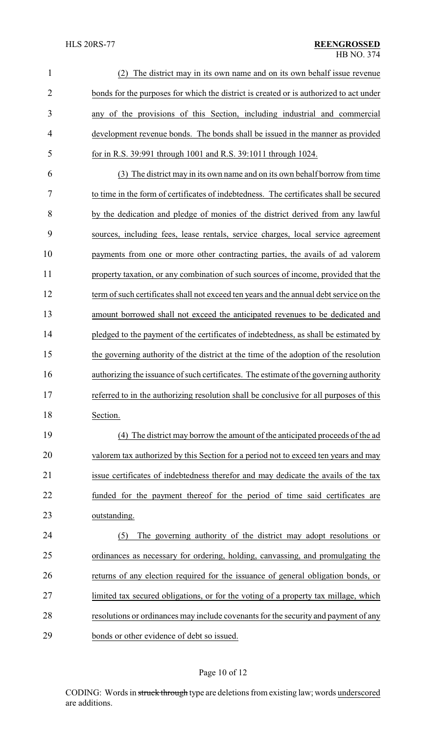| $\mathbf{1}$   | The district may in its own name and on its own behalf issue revenue                    |  |
|----------------|-----------------------------------------------------------------------------------------|--|
| $\overline{2}$ | bonds for the purposes for which the district is created or is authorized to act under  |  |
| 3              | any of the provisions of this Section, including industrial and commercial              |  |
| 4              | development revenue bonds. The bonds shall be issued in the manner as provided          |  |
| 5              | for in R.S. 39:991 through 1001 and R.S. 39:1011 through 1024.                          |  |
| 6              | (3) The district may in its own name and on its own behalf borrow from time             |  |
| 7              | to time in the form of certificates of indebtedness. The certificates shall be secured  |  |
| 8              | by the dedication and pledge of monies of the district derived from any lawful          |  |
| 9              | sources, including fees, lease rentals, service charges, local service agreement        |  |
| 10             | payments from one or more other contracting parties, the avails of ad valorem           |  |
| 11             | property taxation, or any combination of such sources of income, provided that the      |  |
| 12             | term of such certificates shall not exceed ten years and the annual debt service on the |  |
| 13             | amount borrowed shall not exceed the anticipated revenues to be dedicated and           |  |
| 14             | pledged to the payment of the certificates of indebtedness, as shall be estimated by    |  |
| 15             | the governing authority of the district at the time of the adoption of the resolution   |  |
| 16             | authorizing the issuance of such certificates. The estimate of the governing authority  |  |
| 17             | referred to in the authorizing resolution shall be conclusive for all purposes of this  |  |
| 18             | Section.                                                                                |  |
| 19             | (4) The district may borrow the amount of the anticipated proceeds of the ad            |  |
| 20             | valorem tax authorized by this Section for a period not to exceed ten years and may     |  |
| 21             | issue certificates of indebtedness therefor and may dedicate the avails of the tax      |  |
| 22             | funded for the payment thereof for the period of time said certificates are             |  |
| 23             | outstanding.                                                                            |  |
| 24             | The governing authority of the district may adopt resolutions or<br>(5)                 |  |
| 25             | ordinances as necessary for ordering, holding, canvassing, and promulgating the         |  |
| 26             | returns of any election required for the issuance of general obligation bonds, or       |  |
| 27             | limited tax secured obligations, or for the voting of a property tax millage, which     |  |
| 28             | resolutions or ordinances may include covenants for the security and payment of any     |  |
| 29             | bonds or other evidence of debt so issued.                                              |  |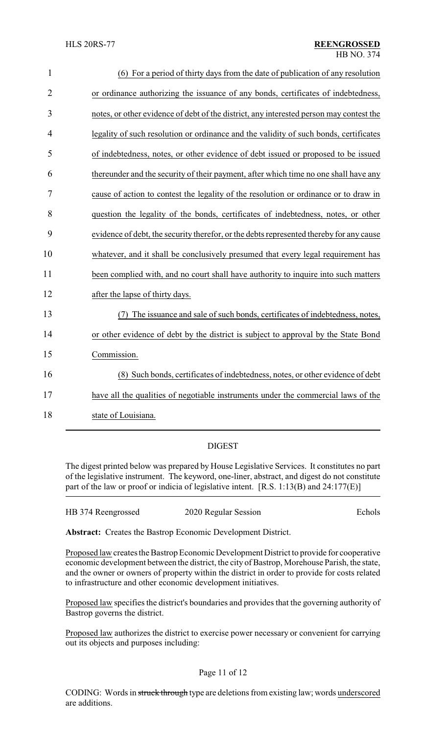| $\mathbf{1}$   | (6) For a period of thirty days from the date of publication of any resolution          |
|----------------|-----------------------------------------------------------------------------------------|
| $\overline{2}$ | or ordinance authorizing the issuance of any bonds, certificates of indebtedness,       |
| 3              | notes, or other evidence of debt of the district, any interested person may contest the |
| $\overline{4}$ | legality of such resolution or ordinance and the validity of such bonds, certificates   |
| 5              | of indebtedness, notes, or other evidence of debt issued or proposed to be issued       |
| 6              | thereunder and the security of their payment, after which time no one shall have any    |
| 7              | cause of action to contest the legality of the resolution or ordinance or to draw in    |
| 8              | question the legality of the bonds, certificates of indebtedness, notes, or other       |
| 9              | evidence of debt, the security therefor, or the debts represented thereby for any cause |
| 10             | whatever, and it shall be conclusively presumed that every legal requirement has        |
| 11             | been complied with, and no court shall have authority to inquire into such matters      |
| 12             | after the lapse of thirty days.                                                         |
| 13             | The issuance and sale of such bonds, certificates of indebtedness, notes,               |
| 14             | or other evidence of debt by the district is subject to approval by the State Bond      |
| 15             | Commission.                                                                             |
| 16             | (8) Such bonds, certificates of indebtedness, notes, or other evidence of debt          |
| 17             | have all the qualities of negotiable instruments under the commercial laws of the       |
| 18             | state of Louisiana.                                                                     |

## DIGEST

The digest printed below was prepared by House Legislative Services. It constitutes no part of the legislative instrument. The keyword, one-liner, abstract, and digest do not constitute part of the law or proof or indicia of legislative intent. [R.S. 1:13(B) and 24:177(E)]

| HB 374 Reengrossed | 2020 Regular Session | Echols |
|--------------------|----------------------|--------|
|                    |                      |        |

**Abstract:** Creates the Bastrop Economic Development District.

Proposed law creates the Bastrop Economic Development District to provide for cooperative economic development between the district, the city of Bastrop, Morehouse Parish, the state, and the owner or owners of property within the district in order to provide for costs related to infrastructure and other economic development initiatives.

Proposed law specifies the district's boundaries and provides that the governing authority of Bastrop governs the district.

Proposed law authorizes the district to exercise power necessary or convenient for carrying out its objects and purposes including: